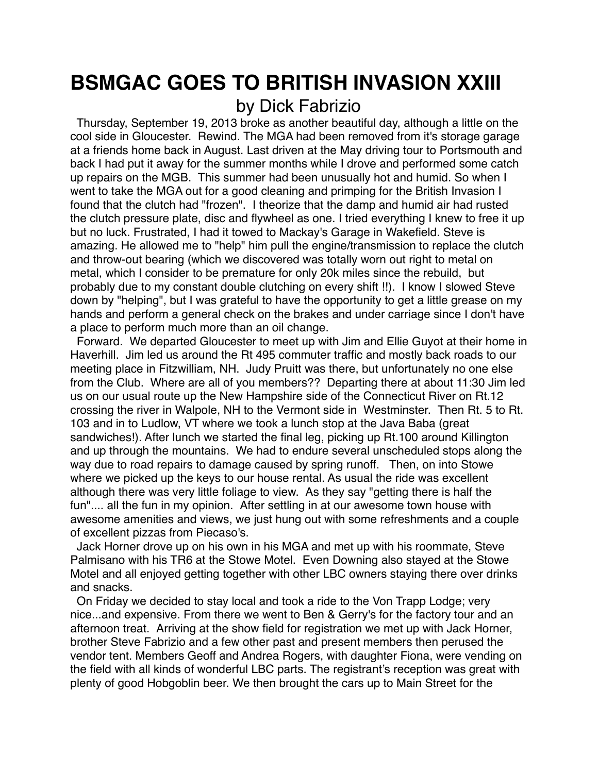## **BSMGAC GOES TO BRITISH INVASION XXIII** by Dick Fabrizio

 Thursday, September 19, 2013 broke as another beautiful day, although a little on the cool side in Gloucester. Rewind. The MGA had been removed from it's storage garage at a friends home back in August. Last driven at the May driving tour to Portsmouth and back I had put it away for the summer months while I drove and performed some catch up repairs on the MGB. This summer had been unusually hot and humid. So when I went to take the MGA out for a good cleaning and primping for the British Invasion I found that the clutch had "frozen". I theorize that the damp and humid air had rusted the clutch pressure plate, disc and flywheel as one. I tried everything I knew to free it up but no luck. Frustrated, I had it towed to Mackay's Garage in Wakefield. Steve is amazing. He allowed me to "help" him pull the engine/transmission to replace the clutch and throw-out bearing (which we discovered was totally worn out right to metal on metal, which I consider to be premature for only 20k miles since the rebuild, but probably due to my constant double clutching on every shift !!). I know I slowed Steve down by "helping", but I was grateful to have the opportunity to get a little grease on my hands and perform a general check on the brakes and under carriage since I don't have a place to perform much more than an oil change.

 Forward. We departed Gloucester to meet up with Jim and Ellie Guyot at their home in Haverhill. Jim led us around the Rt 495 commuter traffic and mostly back roads to our meeting place in Fitzwilliam, NH. Judy Pruitt was there, but unfortunately no one else from the Club. Where are all of you members?? Departing there at about 11:30 Jim led us on our usual route up the New Hampshire side of the Connecticut River on Rt.12 crossing the river in Walpole, NH to the Vermont side in Westminster. Then Rt. 5 to Rt. 103 and in to Ludlow, VT where we took a lunch stop at the Java Baba (great sandwiches!). After lunch we started the final leg, picking up Rt.100 around Killington and up through the mountains. We had to endure several unscheduled stops along the way due to road repairs to damage caused by spring runoff. Then, on into Stowe where we picked up the keys to our house rental. As usual the ride was excellent although there was very little foliage to view. As they say "getting there is half the fun".... all the fun in my opinion. After settling in at our awesome town house with awesome amenities and views, we just hung out with some refreshments and a couple of excellent pizzas from Piecaso's.

 Jack Horner drove up on his own in his MGA and met up with his roommate, Steve Palmisano with his TR6 at the Stowe Motel. Even Downing also stayed at the Stowe Motel and all enjoyed getting together with other LBC owners staying there over drinks and snacks.

 On Friday we decided to stay local and took a ride to the Von Trapp Lodge; very nice...and expensive. From there we went to Ben & Gerry's for the factory tour and an afternoon treat. Arriving at the show field for registration we met up with Jack Horner, brother Steve Fabrizio and a few other past and present members then perused the vendor tent. Members Geoff and Andrea Rogers, with daughter Fiona, were vending on the field with all kinds of wonderful LBC parts. The registrant's reception was great with plenty of good Hobgoblin beer. We then brought the cars up to Main Street for the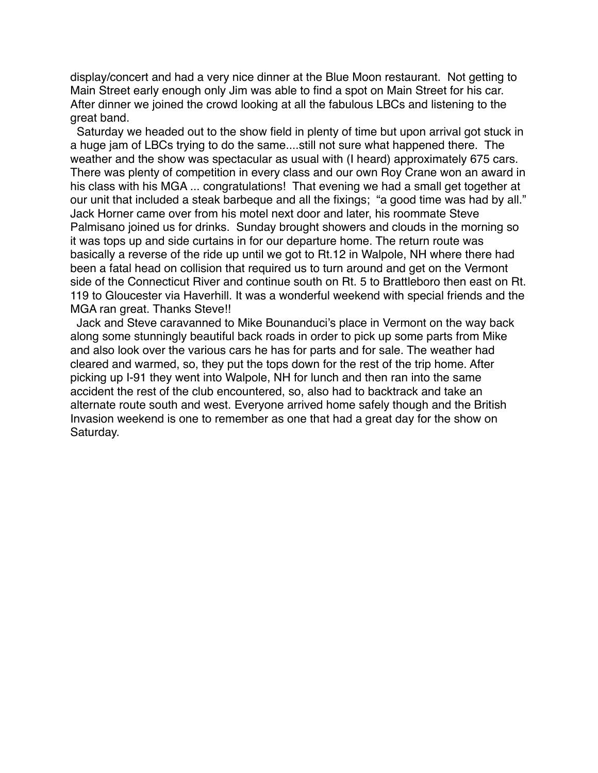display/concert and had a very nice dinner at the Blue Moon restaurant. Not getting to Main Street early enough only Jim was able to find a spot on Main Street for his car. After dinner we joined the crowd looking at all the fabulous LBCs and listening to the great band.

 Saturday we headed out to the show field in plenty of time but upon arrival got stuck in a huge jam of LBCs trying to do the same....still not sure what happened there. The weather and the show was spectacular as usual with (I heard) approximately 675 cars. There was plenty of competition in every class and our own Roy Crane won an award in his class with his MGA ... congratulations! That evening we had a small get together at our unit that included a steak barbeque and all the fixings; "a good time was had by all." Jack Horner came over from his motel next door and later, his roommate Steve Palmisano joined us for drinks. Sunday brought showers and clouds in the morning so it was tops up and side curtains in for our departure home. The return route was basically a reverse of the ride up until we got to Rt.12 in Walpole, NH where there had been a fatal head on collision that required us to turn around and get on the Vermont side of the Connecticut River and continue south on Rt. 5 to Brattleboro then east on Rt. 119 to Gloucester via Haverhill. It was a wonderful weekend with special friends and the MGA ran great. Thanks Steve!!

 Jack and Steve caravanned to Mike Bounanduci's place in Vermont on the way back along some stunningly beautiful back roads in order to pick up some parts from Mike and also look over the various cars he has for parts and for sale. The weather had cleared and warmed, so, they put the tops down for the rest of the trip home. After picking up I-91 they went into Walpole, NH for lunch and then ran into the same accident the rest of the club encountered, so, also had to backtrack and take an alternate route south and west. Everyone arrived home safely though and the British Invasion weekend is one to remember as one that had a great day for the show on Saturday.